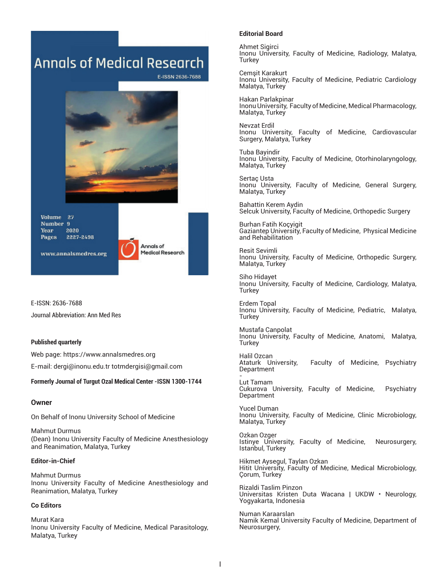# **Annals of Medical Research**

E-ISSN 2636-7688



**Volume** 27 **Number** 9 2020 Year 2227-2498 **Pages** 



www.annalsmedres.org

E-ISSN: 2636-7688 Journal Abbreviation: Ann Med Res

#### **Published quarterly**

Web page: https://www.annalsmedres.org E-mail: dergi@inonu.edu.tr totmdergisi@gmail.com

#### **Formerly Journal of Turgut Ozal Medical Center -ISSN 1300-1744**

#### **Owner**

On Behalf of Inonu University School of Medicine

Mahmut Durmus (Dean) Inonu University Faculty of Medicine Anesthesiology and Reanimation, Malatya, Turkey

#### **Editor-in-Chief**

Mahmut Durmus Inonu University Faculty of Medicine Anesthesiology and Reanimation, Malatya, Turkey

#### **Co Editors**

Murat Kara Inonu University Faculty of Medicine, Medical Parasitology, Malatya, Turkey

#### **Editorial Board**

Ahmet Sigirci Inonu University, Faculty of Medicine, Radiology, Malatya, Turkey

Cemşit Karakurt Inonu University, Faculty of Medicine, Pediatric Cardiology Malatya, Turkey

Hakan Parlakpinar Inonu University, Faculty of Medicine, Medical Pharmacology, Malatya, Turkey

Nevzat Erdil Inonu University, Faculty of Medicine, Cardiovascular Surgery, Malatya, Turkey

Tuba Bayindir Inonu University, Faculty of Medicine, Otorhinolaryngology, Malatya, Turkey

Sertaç Usta Inonu University, Faculty of Medicine, General Surgery, Malatya, Turkey

Bahattin Kerem Aydin Selcuk University, Faculty of Medicine, Orthopedic Surgery

Burhan Fatih Koçyigit Gaziantep University, Faculty of Medicine, Physical Medicine and Rehabilitation

Resit Sevimli Inonu University, Faculty of Medicine, Orthopedic Surgery, Malatya, Turkey

Siho Hidayet Inonu University, Faculty of Medicine, Cardiology, Malatya, Turkey

Erdem Topal Inonu University, Faculty of Medicine, Pediatric, Malatya, Turkey

Mustafa Canpolat Inonu University, Faculty of Medicine, Anatomi, Malatya, Turkey

Halil Ozcan Faculty of Medicine, Psychiatry Department -

Lut Tamam Cukurova University, Faculty of Medicine, Psychiatry Department

Yucel Duman Inonu University, Faculty of Medicine, Clinic Microbiology, Malatya, Turkey

Ozkan Ozger Istinye University, Faculty of Medicine, Neurosurgery, Istanbul, Turkey

Hikmet Aysegul, Taylan Ozkan Hitit University, Faculty of Medicine, Medical Microbiology, Çorum, Turkey

Rizaldi Taslim Pinzon Universitas Kristen Duta Wacana | UKDW • Neurology, Yogyakarta, Indonesia

Numan Karaarslan Namik Kemal University Faculty of Medicine, Department of Neurosurgery,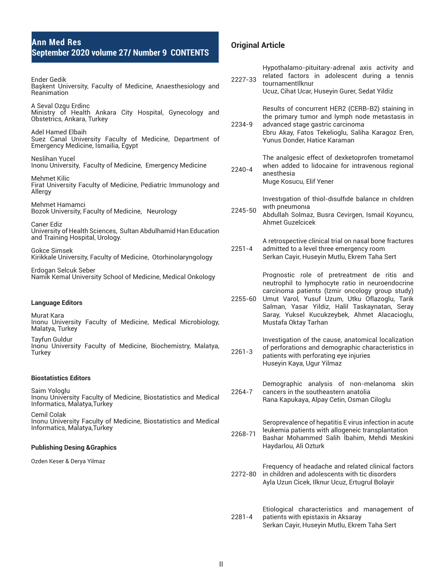Ender Gedik Başkent University, Faculty of Medicine, Anaesthesiology and **Reanimation** A Seval Ozgu Erdinc Ministry of Health Ankara City Hospital, Gynecology and Obstetrics, Ankara, Turkey Adel Hamed Elbaih Suez Canal University Faculty of Medicine, Department of Emergency Medicine, Ismailia, Egypt Neslihan Yucel Inonu University, Faculty of Medicine, Emergency Medicine Mehmet Kilic Firat University Faculty of Medicine, Pediatric Immunology and Allergy Mehmet Hamamci Bozok University, Faculty of Medicine, Neurology Caner Ediz University of Health Sciences, Sultan Abdulhamid Han Education and Training Hospital, Urology. Gokce Simsek Kirikkale University, Faculty of Medicine, Otorhinolaryngology Erdogan Selcuk Seber Namik Kemal University School of Medicine, Medical Onkology **Language Editors** Murat Kara Inonu University Faculty of Medicine, Medical Microbiology, Malatya, Turkey Tayfun Guldur Inonu University Faculty of Medicine, Biochemistry, Malatya, **Turkey Biostatistics Editors**  Saim Yologlu Inonu University Faculty of Medicine, Biostatistics and Medical Informatics, Malatya,Turkey Cemil Colak Inonu University Faculty of Medicine, Biostatistics and Medical Informatics, Malatya,Turkey **Publishing Desing &Graphics** Ozden Keser & Derya Yilmaz 2227-33 related factors in adolescent during a tennis tournamentIlknur Ucuz, Cihat Ucar, Huseyin Gurer, Sedat Yildiz 2234-9 Results of concurrent HER2 (CERB-B2) staining in the primary tumor and lymph node metastasis in advanced stage gastric carcinoma Ebru Akay, Fatos Tekelioglu, Saliha Karagoz Eren, Yunus Donder, Hatice Karaman 2240-4 The analgesic effect of dexketoprofen trometamol when added to lidocaine for intravenous regional anesthesia Muge Kosucu, Elif Yener 2245-50 Investıgation of thiol-dısulfıde balance ın chıldren wıth pneumonıa Abdullah Solmaz, Busra Cevirgen, Ismail Koyuncu, Ahmet Guzelcicek 2251-4 A retrospective clinical trial on nasal bone fractures admitted to a level three emergency room Serkan Cayir, Huseyin Mutlu, Ekrem Taha Sert 2255-60 Umut Varol, Yusuf Uzum, Utku Oflazoglu, Tarik Prognostic role of pretreatment de ritis and neutrophil to lymphocyte ratio in neuroendocrine carcinoma patients (Izmir oncology group study) Salman, Yasar Yildiz, Halil Taskaynatan, Seray Saray, Yuksel Kucukzeybek, Ahmet Alacacioglu, Mustafa Oktay Tarhan 2261-3 Investigation of the cause, anatomical localization of perforations and demographic characteristics in patients with perforating eye injuries Huseyin Kaya, Ugur Yilmaz 2264-7 Demographic analysis of non-melanoma skin cancers in the southeastern anatolia Rana Kapukaya, Alpay Cetin, Osman Ciloglu 2268-71 Seroprevalence of hepatitis E virus infection in acute leukemia patients with allogeneic transplantation Bashar Mohammed Salih İbahim, Mehdi Meskini Haydarlou, Ali Ozturk 2272-80 Frequency of headache and related clinical factors in children and adolescents with tic disorders Ayla Uzun Cicek, Ilknur Ucuz, Ertugrul Bolayir

**Original Article**

Hypothalamo-pituitary-adrenal axis activity and

2281-4 Etiological characteristics and management of patients with epistaxis in Aksaray Serkan Cayir, Huseyin Mutlu, Ekrem Taha Sert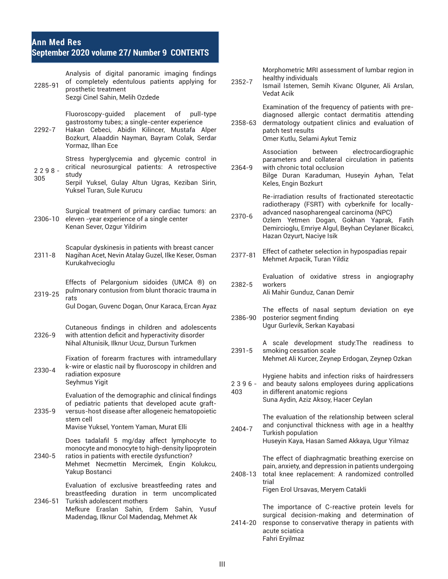## **Ann Med Res September 2020 volume 27/ Number 9 CONTENTS**

| of completely edentulous patients applying for<br>2352-7<br>2285-91<br>prosthetic treatment<br><b>Vedat Acik</b><br>Sezgi Cinel Sahin, Melih Ozdede                                                                                                                                               | Ismail Istemen, Semih Kivanc Olguner, Ali Arslan,                                                                                                                                                                                                     |
|---------------------------------------------------------------------------------------------------------------------------------------------------------------------------------------------------------------------------------------------------------------------------------------------------|-------------------------------------------------------------------------------------------------------------------------------------------------------------------------------------------------------------------------------------------------------|
| Fluoroscopy-guided<br>placement of pull-type<br>gastrostomy tubes; a single-center experience<br>2358-63<br>Hakan Cebeci, Abidin Kilincer, Mustafa Alper<br>2292-7<br>patch test results<br>Bozkurt, Alaaddin Nayman, Bayram Colak, Serdar<br>Omer Kutlu, Selami Aykut Temiz<br>Yormaz, Ilhan Ece | Examination of the frequency of patients with pre-<br>diagnosed allergic contact dermatitis attending<br>dermatology outpatient clinics and evaluation of                                                                                             |
| Association<br>Stress hyperglycemia and glycemic control in<br>critical neurosurgical patients: A retrospective<br>with chronic total occlusion<br>2364-9<br>$2298 -$<br>study<br>305<br>Serpil Yuksel, Gulay Altun Ugras, Keziban Sirin,<br>Keles, Engin Bozkurt<br>Yuksel Turan, Sule Kurucu    | between<br>electrocardiographic<br>parameters and collateral circulation in patients<br>Bilge Duran Karaduman, Huseyin Ayhan, Telat                                                                                                                   |
| Surgical treatment of primary cardiac tumors: an<br>2370-6<br>2306-10 eleven -year experience of a single center<br>Kenan Sever, Ozgur Yildirim<br>Hazan Ozyurt, Naciye Isik                                                                                                                      | Re-irradiation results of fractionated stereotactic<br>radiotherapy (FSRT) with cyberknife for locally-<br>advanced nasopharengeal carcinoma (NPC)<br>Ozlem Yetmen Dogan, Gokhan Yaprak, Fatih<br>Demircioglu, Emriye Algul, Beyhan Ceylaner Bicakci, |
| Scapular dyskinesis in patients with breast cancer<br>Nagihan Acet, Nevin Atalay Guzel, Ilke Keser, Osman<br>$2311 - 8$<br>2377-81<br>Mehmet Arpacik, Turan Yildiz<br>Kurukahvecioglu                                                                                                             | Effect of catheter selection in hypospadias repair                                                                                                                                                                                                    |
| Effects of Pelargonium sidoides (UMCA ®) on<br>2382-5<br>workers<br>pulmonary contusion from blunt thoracic trauma in<br>Ali Mahir Gunduz, Canan Demir<br>2319-25<br>rats<br>Gul Dogan, Guvenc Dogan, Onur Karaca, Ercan Ayaz                                                                     | Evaluation of oxidative stress in angiography                                                                                                                                                                                                         |
| 2386-90<br>posterior segment finding<br>Ugur Gurlevik, Serkan Kayabasi<br>Cutaneous findings in children and adolescents<br>with attention deficit and hyperactivity disorder<br>2326-9<br>Nihal Altunisik, Ilknur Ucuz, Dursun Turkmen                                                           | The effects of nasal septum deviation on eye<br>A scale development study: The readiness to                                                                                                                                                           |
| $2391 - 5$<br>smoking cessation scale<br>Fixation of forearm fractures with intramedullary<br>k-wire or elastic nail by fluoroscopy in children and<br>2330-4<br>radiation exposure<br>Seyhmus Yigit<br>$2396 -$                                                                                  | Mehmet Ali Kurcer, Zeynep Erdogan, Zeynep Ozkan<br>Hygiene habits and infection risks of hairdressers<br>and beauty salons employees during applications                                                                                              |
| in different anatomic regions<br>403<br>Evaluation of the demographic and clinical findings<br>Suna Aydin, Aziz Aksoy, Hacer Ceylan<br>of pediatric patients that developed acute graft-<br>2335-9<br>versus-host disease after allogeneic hematopoietic                                          | The evaluation of the relationship between scleral                                                                                                                                                                                                    |
| stem cell<br>Mavise Yuksel, Yontem Yaman, Murat Elli<br>2404-7<br>Turkish population                                                                                                                                                                                                              | and conjunctival thickness with age in a healthy                                                                                                                                                                                                      |
| Does tadalafil 5 mg/day affect lymphocyte to<br>monocyte and monocyte to high-density lipoprotein<br>2340-5<br>ratios in patients with erectile dysfunction?<br>Mehmet Necmettin Mercimek, Engin Kolukcu,<br>Yakup Bostanci<br>2408-13                                                            | Huseyin Kaya, Hasan Samed Akkaya, Ugur Yilmaz<br>The effect of diaphragmatic breathing exercise on<br>pain, anxiety, and depression in patients undergoing<br>total knee replacement: A randomized controlled                                         |
| trial<br>Evaluation of exclusive breastfeeding rates and<br>Figen Erol Ursavas, Meryem Catakli<br>breastfeeding duration in term uncomplicated<br>Turkish adolescent mothers<br>2346-51                                                                                                           |                                                                                                                                                                                                                                                       |
| Mefkure Eraslan Sahin, Erdem Sahin, Yusuf<br>Madendag, Ilknur Col Madendag, Mehmet Ak<br>2414-20<br>acute sciatica<br>Fahri Eryilmaz                                                                                                                                                              | The importance of C-reactive protein levels for<br>surgical decision-making and determination of<br>response to conservative therapy in patients with                                                                                                 |